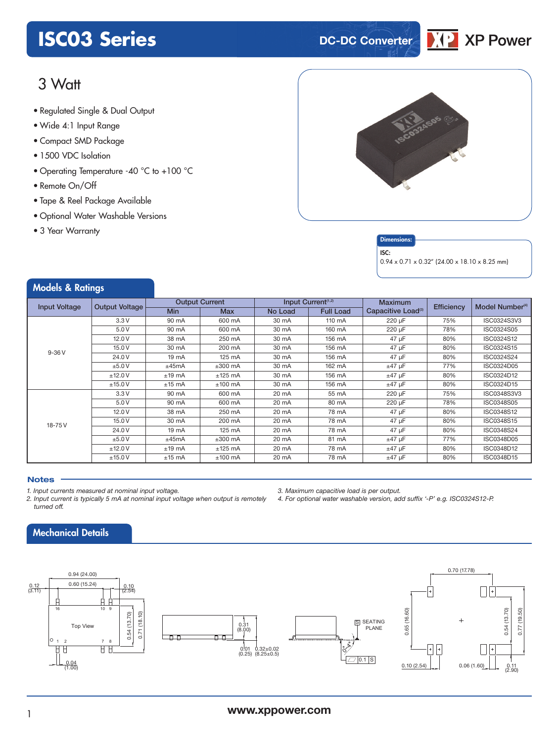### **ISCO3 Series DC-DC Converter**



### 3 Watt

- **xxx Series** Regulated Single & Dual Output
- Wide 4:1 Input Range
- Compact SMD Package
- 1500 VDC Isolation
- Operating Temperature -40 °C to +100 °C
- Remote On/Off
- Tape & Reel Package Available
- Optional Water Washable Versions
- 3 Year Warranty





### ISC:

0.94 x 0.71 x 0.32" (24.00 x 18.10 x 8.25 mm)

| <b>Models &amp; Ratings</b> |                       |                       |            |                                |                  |                                |            |                             |
|-----------------------------|-----------------------|-----------------------|------------|--------------------------------|------------------|--------------------------------|------------|-----------------------------|
| <b>Input Voltage</b>        | <b>Output Voltage</b> | <b>Output Current</b> |            | Input Current <sup>(1,2)</sup> |                  | <b>Maximum</b>                 | Efficiency | Model Number <sup>(4)</sup> |
|                             |                       | <b>Min</b>            | <b>Max</b> | No Load                        | <b>Full Load</b> | Capacitive Load <sup>(3)</sup> |            |                             |
| $9 - 36 V$                  | 3.3V                  | 90 mA                 | 600 mA     | 30 mA                          | 110 mA           | 220 µF                         | 75%        | ISC0324S3V3                 |
|                             | 5.0V                  | 90 mA                 | 600 mA     | 30 mA                          | 160 mA           | 220 µF                         | 78%        | ISC0324S05                  |
|                             | 12.0V                 | 38 mA                 | 250 mA     | 30 mA                          | 156 mA           | 47 µF                          | 80%        | ISC0324S12                  |
|                             | 15.0V                 | 30 mA                 | 200 mA     | 30 mA                          | 156 mA           | 47 µF                          | 80%        | ISC0324S15                  |
|                             | 24.0 V                | 19 mA                 | 125 mA     | 30 mA                          | 156 mA           | 47 µF                          | 80%        | ISC0324S24                  |
|                             | ±5.0V                 | ±45mA                 | $±300$ mA  | 30 mA                          | 162 mA           | $±47$ µF                       | 77%        | ISC0324D05                  |
|                             | ±12.0V                | $±19$ mA              | $±125$ mA  | 30 mA                          | 156 mA           | $±47$ µF                       | 80%        | ISC0324D12                  |
|                             | ±15.0V                | $±15$ mA              | $±100$ mA  | 30 mA                          | 156 mA           | $±47$ µF                       | 80%        | ISC0324D15                  |
| 18-75V                      | 3.3V                  | 90 mA                 | 600 mA     | 20 mA                          | 55 mA            | 220 µF                         | 75%        | ISC0348S3V3                 |
|                             | 5.0V                  | 90 mA                 | 600 mA     | 20 mA                          | 80 mA            | 220 µF                         | 78%        | ISC0348S05                  |
|                             | 12.0V                 | 38 mA                 | 250 mA     | 20 mA                          | 78 mA            | 47 µF                          | 80%        | ISC0348S12                  |
|                             | 15.0V                 | 30 mA                 | 200 mA     | 20 mA                          | 78 mA            | 47 µF                          | 80%        | ISC0348S15                  |
|                             | 24.0 V                | 19 mA                 | 125 mA     | 20 mA                          | 78 mA            | 47 µF                          | 80%        | ISC0348S24                  |
|                             | ±5.0V                 | ±45mA                 | $±300$ mA  | 20 mA                          | 81 mA            | $±47$ µF                       | 77%        | ISC0348D05                  |
|                             | ±12.0V                | $±19$ mA              | $±125$ mA  | 20 mA                          | 78 mA            | $±47$ µF                       | 80%        | ISC0348D12                  |
|                             | ±15.0V                | $±15$ mA              | $±100$ mA  | 20 mA                          | 78 mA            | $±47$ µF                       | 80%        | ISC0348D15                  |

*3. Maximum capacitive load is per output.*

*4. For optional water washable version, add suffix '-P' e.g. ISC0324S12-P.*

### **Notes**

- *1. Input currents measured at nominal input voltage.*
- *2. Input current is typically 5 mA at nominal input voltage when output is remotely turned off.*

### Mechanical Details



### <sup>1</sup> **www.xppower.com**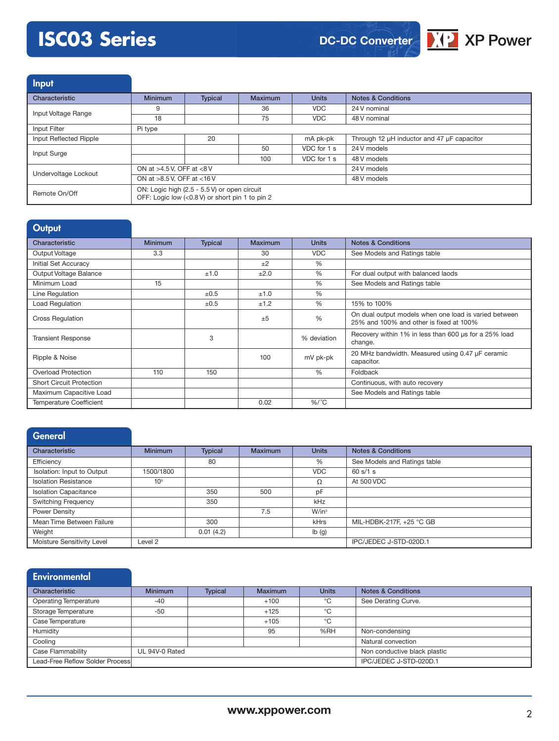# **ISC03 Series**



Input Characteristic **Minimum** Typical Maximum Units Notes & Conditions Input Voltage Range **9** 36 36 VDC 24 V nominal<br>18 75 VDC 48 V nominal 48 V nominal Input Filter Pi type Input Reflected Ripple 20 mA pk-pk Through 12 µH inductor and 47 µF capacitor Input Surge **1.1 State 1.24 Visual Contract 1.24 Visual Contract 2.4 VDC for 1 s 1.24 V models** 100 VDC for 1 s 48 V models Undervoltage Lockout ON at >4.5 V, OFF at <8 V 24 V models ON at >8.5 V, OFF at <16 V 48 V models Remote On/Off ON: Logic high (2.5 - 5.5 V) or open circuit OFF: Logic low (<0.8 V) or short pin 1 to pin 2

| <b>Output</b>                   |                |                |                |               |                                                                                                  |
|---------------------------------|----------------|----------------|----------------|---------------|--------------------------------------------------------------------------------------------------|
| Characteristic                  | <b>Minimum</b> | <b>Typical</b> | <b>Maximum</b> | <b>Units</b>  | <b>Notes &amp; Conditions</b>                                                                    |
| Output Voltage                  | 3.3            |                | 30             | <b>VDC</b>    | See Models and Ratings table                                                                     |
| Initial Set Accuracy            |                |                | $+2$           | $\frac{0}{0}$ |                                                                                                  |
| Output Voltage Balance          |                | ±1.0           | ±2.0           | $\frac{0}{0}$ | For dual output with balanced laods                                                              |
| Minimum Load                    | 15             |                |                | $\frac{0}{0}$ | See Models and Ratings table                                                                     |
| Line Regulation                 |                | $\pm 0.5$      | ±1.0           | $\frac{0}{0}$ |                                                                                                  |
| Load Regulation                 |                | $\pm 0.5$      | ±1.2           | $\frac{0}{0}$ | 15% to 100%                                                                                      |
| <b>Cross Regulation</b>         |                |                | $+5$           | %             | On dual output models when one load is varied between<br>25% and 100% and other is fixed at 100% |
| <b>Transient Response</b>       |                | 3              |                | % deviation   | Recovery within 1% in less than 600 us for a 25% load<br>change.                                 |
| Ripple & Noise                  |                |                | 100            | mV pk-pk      | 20 MHz bandwidth. Measured using 0.47 µF ceramic<br>capacitor.                                   |
| <b>Overload Protection</b>      | 110            | 150            |                | $\%$          | Foldback                                                                                         |
| <b>Short Circuit Protection</b> |                |                |                |               | Continuous, with auto recovery                                                                   |
| Maximum Capacitive Load         |                |                |                |               | See Models and Ratings table                                                                     |
| <b>Temperature Coefficient</b>  |                |                | 0.02           | $%$ /°C       |                                                                                                  |

### General

| Characteristic               | <b>Minimum</b>  | <b>Typical</b> | <b>Maximum</b> | <b>Units</b> | <b>Notes &amp; Conditions</b> |
|------------------------------|-----------------|----------------|----------------|--------------|-------------------------------|
| Efficiency                   |                 | 80             |                | %            | See Models and Ratings table  |
| Isolation: Input to Output   | 1500/1800       |                |                | <b>VDC</b>   | 60 s/1 s                      |
| <b>Isolation Resistance</b>  | 10 <sup>9</sup> |                |                | Ω            | At 500 VDC                    |
| <b>Isolation Capacitance</b> |                 | 350            | 500            | pF           |                               |
| <b>Switching Frequency</b>   |                 | 350            |                | kHz          |                               |
| Power Density                |                 |                | 7.5            | $W/in^3$     |                               |
| Mean Time Between Failure    |                 | 300            |                | kHrs         | MIL-HDBK-217F. +25 °C GB      |
| Weight                       |                 | 0.01(4.2)      |                | Ib(g)        |                               |
| Moisture Sensitivity Level   | Level 2         |                |                |              | IPC/JEDEC J-STD-020D.1        |

| <b>Environmental</b>                |                |                              |                        |              |                               |
|-------------------------------------|----------------|------------------------------|------------------------|--------------|-------------------------------|
| Characteristic                      | <b>Minimum</b> | <b>Typical</b>               | <b>Maximum</b>         | <b>Units</b> | <b>Notes &amp; Conditions</b> |
| <b>Operating Temperature</b>        | $-40$          |                              | $+100$                 | °C           | See Derating Curve.           |
| Storage Temperature                 | $-50$          |                              | $+125$                 | °C           |                               |
| Case Temperature                    |                |                              | $+105$                 | °C           |                               |
| Humidity                            |                |                              | 95                     | %RH          | Non-condensing                |
| Cooling                             |                |                              |                        |              | Natural convection            |
| Case Flammability<br>UL 94V-0 Rated |                | Non conductive black plastic |                        |              |                               |
| Lead-Free Reflow Solder Process     |                |                              | IPC/JEDEC J-STD-020D.1 |              |                               |